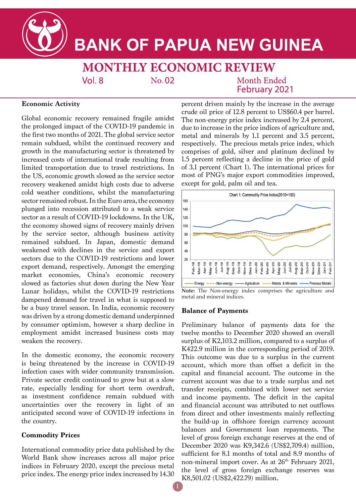

# **BANK OF PAPUA NEW GUINEA**

**MONTHLY ECONOMIC REVIEW**  $Vol.8$  $No. 02$ **Month Ended** 

February 2021

### **Economic Activity**

Global economic recovery remained fragile amidst the prolonged impact of the COVID-19 pandemic in the first two months of 2021. The global service sector remain subdued, whilst the continued recovery and growth in the manufacturing sector is threatened by increased costs of international trade resulting from limited transportation due to travel restrictions. In the US, economic growth slowed as the service sector recovery weakened amidst high costs due to adverse cold weather conditions, whilst the manufacturing sector remained robust. In the Euro area, the economy plunged into recession attributed to a weak service sector as a result of COVID-19 lockdowns. In the UK, the economy showed signs of recovery mainly driven by the service sector, although business activity remained subdued. In Japan, domestic demand weakened with declines in the service and export sectors due to the COVID-19 restrictions and lower export demand, respectively. Amongst the emerging market economies, China's economic recovery slowed as factories shut down during the New Year Lunar holidays, whilst the COVID-19 restrictions dampened demand for travel in what is supposed to be a busy travel season. In India, economic recovery was driven by a strong domestic demand underpinned by consumer optimism, however a sharp decline in employment amidst increased business costs may weaken the recovery.

In the domestic economy, the economic recovery is being threatened by the increase in COVID-19 infection cases with wider community transmission. Private sector credit continued to grow but at a slow rate, especially lending for short term overdraft, as investment confidence remain subdued with uncertainties over the recovery in light of an anticipated second wave of COVID-19 infections in the country.

## **Commodity Prices**

International commodity price data published by the World Bank show increases across all major price indices in February 2020, except the precious metal price index. The energy price index increased by 14.30

percent driven mainly by the increase in the average crude oil price of 12.8 percent to US\$60.4 per barrel. The non-energy price index increased by 2.4 percent, due to increase in the price indices of agriculture and, metal and minerals by 1.1 percent and 3.5 percent, respectively. The precious metals price index, which comprises of gold, silver and platinum declined by 1.5 percent reflecting a decline in the price of gold of 3.1 percent (Chart 1). The international prices for most of PNG's major export commodities improved, except for gold, palm oil and tea.



**Note:** The Non-energy index comprises the agriculture and metal and mineral indices.

#### **Balance of Payments**

Preliminary balance of payments data for the twelve months to December 2020 showed an overall surplus of K2,103.2 million, compared to a surplus of K422.9 million in the corresponding period of 2019. This outcome was due to a surplus in the current account, which more than offset a deficit in the capital and financial account. The outcome in the current account was due to a trade surplus and net transfer receipts, combined with lower net service and income payments. The deficit in the capital and financial account was attributed to net outflows from direct and other investments mainly reflecting the build-up in offshore foreign currency account balances and Government loan repayments. The level of gross foreign exchange reserves at the end of December 2020 was K9,342.6 (US\$2,709.4) million, sufficient for 8.1 months of total and 8.9 months of non-mineral import cover. As at 26<sup>th</sup> February 2021, the level of gross foreign exchange reserves was K8,501.02 (US\$2,422.79) million.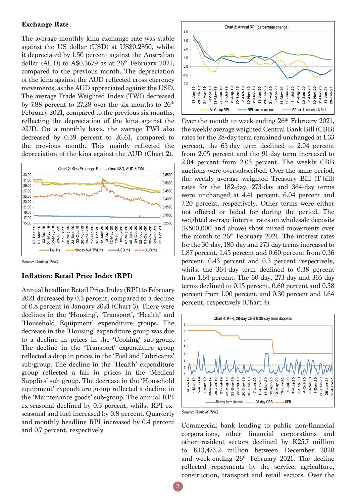## **Exchange Rate**

The average monthly kina exchange rate was stable against the US dollar (USD) at US\$0.2850, whilst it depreciated by 1.50 percent against the Australian dollar (AUD) to A\$0.3679 as at  $26<sup>th</sup>$  February 2021, compared to the previous month. The depreciation of the kina against the AUD reflected cross-currency movements, as the AUD appreciated against the USD. The average Trade Weighted Index (TWI) decreased by 7.88 percent to 27.28 over the six months to  $26<sup>th</sup>$ February 2021, compared to the previous six months, reflecting the depreciation of the kina against the AUD. On a monthly basis, the average TWI also decreased by 0.39 percent to 26.61, compared to the previous month. This mainly reflected the depreciation of the kina against the AUD (Chart 2).



*Source: Bank of PNG*

#### **Inflation: Retail Price Index (RPI)**

Annual headline Retail Price Index (RPI) to February 2021 decreased by 0.3 percent, compared to a decline of 0.8 percent in January 2021 (Chart 3). There were declines in the 'Housing', 'Transport', 'Health' and 'Household Equipment' expenditure groups. The decrease in the 'Housing' expenditure group was due to a decline in prices in the 'Cooking' sub-group. The decline in the 'Transport' expenditure group reflected a drop in prices in the 'Fuel and Lubricants' sub-group. The decline in the 'Health' expenditure group reflected a fall in prices in the 'Medical Supplies' sub-group. The decrease in the 'Household equipment' expenditure group reflected a decline in the 'Maintenance goods' sub-group. The annual RPI ex-seasonal declined by 0.3 percent, whilst RPI exseasonal and fuel increased by 0.8 percent. Quarterly and monthly headline RPI increased by 0.4 percent and 0.7 percent, respectively.



Over the month to week-ending  $26<sup>th</sup>$  February 2021, the weekly average weighted Central Bank Bill (CBB) rates for the 28-day term remained unchanged at 1.33 percent, the 63-day term declined to 2.04 percent from 2.05 percent and the 91-day term increased to 2.04 percent from 2.03 percent. The weekly CBB auctions were oversubscribed. Over the same period, the weekly average weighted Treasury Bill (T-bill) rates for the 182-day, 273-day and 364-day terms were unchanged at 4.41 percent, 6.04 percent and 7.20 percent, respectively. Other terms were either not offered or bided for during the period. The weighted average interest rates on wholesale deposits (K500,000 and above) show mixed movements over the month to  $26<sup>th</sup>$  February 2021. The interest rates for the 30-day, 180-day and 273-day terms increased to 1.87 percent, 1.45 percent and 0.60 percent from 0.36 percent, 0.43 percent and 0.3 percent respectively, whilst the 364-day term declined to 0.38 percent from 1.64 percent. The 60-day, 273-day and 365-day terms declined to 0.15 percent, 0.60 percent and 0.38 percent from 1.00 percent, and 0.30 percent and 1.64 percent, respectively (Chart 4).





2

Commercial bank lending to public non-financial corporations, other financial corporations and other resident sectors declined by K25.7 million to K13,473.2 million between December 2020 and week-ending 26<sup>th</sup> February 2021. The decline reflected repayments by the service, agriculture, construction, transport and retail sectors. Over the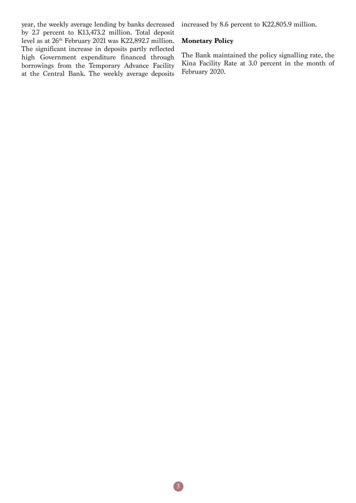year, the weekly average lending by banks decreased by 2.7 percent to K13,473.2 million. Total deposit level as at 26th February 2021 was K22,892.7 million. The significant increase in deposits partly reflected high Government expenditure financed through borrowings from the Temporary Advance Facility at the Central Bank. The weekly average deposits

increased by 8.6 percent to K22,805.9 million.

#### **Monetary Policy**

The Bank maintained the policy signalling rate, the Kina Facility Rate at 3.0 percent in the month of February 2020.